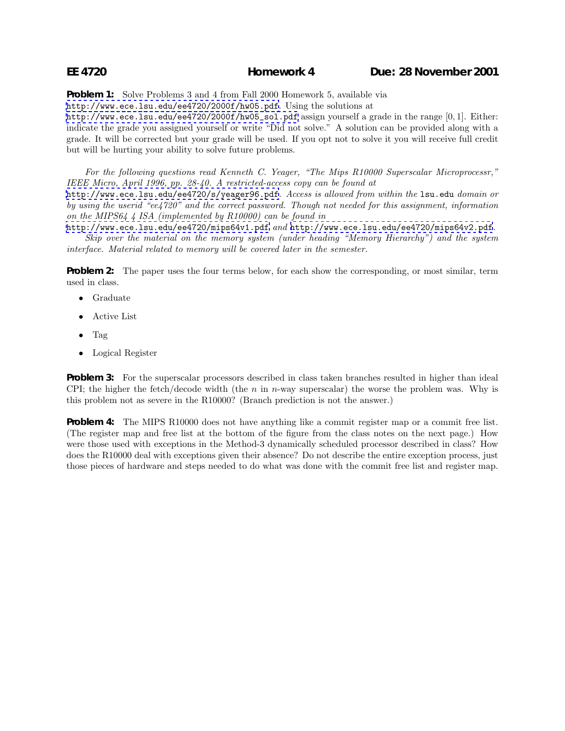**Problem 1:** Solve Problems 3 and 4 from Fall 2000 Homework 5, available via

<http://www.ece.lsu.edu/ee4720/2000f/hw05.pdf>. Using the solutions at

[http://www.ece.lsu.edu/ee4720/2000f/hw05\\_sol.pdf](http://www.ece.lsu.edu/ee4720/2000f/hw05_sol.pdf) assign yourself a grade in the range [0, 1]. Either: indicate the grade you assigned yourself or write "Did not solve." A solution can be provided along with a grade. It will be corrected but your grade will be used. If you opt not to solve it you will receive full credit but will be hurting your ability to solve future problems.

*For the following questions read Kenneth C. Yeager, "The Mips R10000 Superscalar Microprocessr," IEEE Micro, April 1996, pp. 28-40. A restricted-access copy can be found at*

<http://www.ece.lsu.edu/ee4720/s/yeager96.pdf>*. Access is allowed from within the* lsu.edu *domain or by using the userid "ee4720" and the correct password. Though not needed for this assignment, information on the MIPS64 4 ISA (implemented by R10000) can be found in*

<http://www.ece.lsu.edu/ee4720/mips64v1.pdf> *and* <http://www.ece.lsu.edu/ee4720/mips64v2.pdf>*. Skip over the material on the memory system (under heading "Memory Hierarchy") and the system interface. Material related to memory will be covered later in the semester.*

**Problem 2:** The paper uses the four terms below, for each show the corresponding, or most similar, term used in class.

- Graduate
- Active List
- Tag
- Logical Register

**Problem 3:** For the superscalar processors described in class taken branches resulted in higher than ideal CPI; the higher the fetch/decode width (the n in n-way superscalar) the worse the problem was. Why is this problem not as severe in the R10000? (Branch prediction is not the answer.)

**Problem 4:** The MIPS R10000 does not have anything like a commit register map or a commit free list. (The register map and free list at the bottom of the figure from the class notes on the next page.) How were those used with exceptions in the Method-3 dynamically scheduled processor described in class? How does the R10000 deal with exceptions given their absence? Do not describe the entire exception process, just those pieces of hardware and steps needed to do what was done with the commit free list and register map.